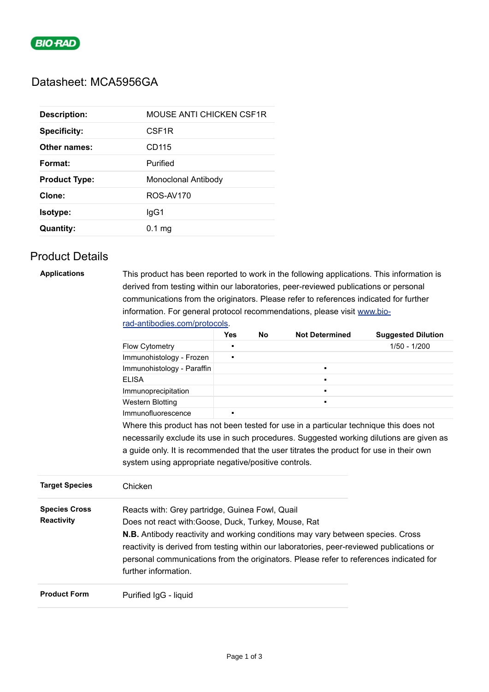

# Datasheet: MCA5956GA

| <b>Description:</b>  | <b>MOUSE ANTI CHICKEN CSF1R</b> |
|----------------------|---------------------------------|
| <b>Specificity:</b>  | CSF <sub>1R</sub>               |
| Other names:         | CD115                           |
| Format:              | Purified                        |
| <b>Product Type:</b> | Monoclonal Antibody             |
| Clone:               | ROS-AV170                       |
| <b>Isotype:</b>      | lgG1                            |
| <b>Quantity:</b>     | 0.1 <sub>ma</sub>               |
|                      |                                 |

# Product Details

| <b>Applications</b> | This product has been reported to work in the following applications. This information is |
|---------------------|-------------------------------------------------------------------------------------------|
|                     | derived from testing within our laboratories, peer-reviewed publications or personal      |
|                     | communications from the originators. Please refer to references indicated for further     |
|                     | information. For general protocol recommendations, please visit www.bio-                  |
|                     | rad-antibodies.com/protocols.                                                             |

|                       |                                                                                           | <b>Yes</b> | No | <b>Not Determined</b> | <b>Suggested Dilution</b> |
|-----------------------|-------------------------------------------------------------------------------------------|------------|----|-----------------------|---------------------------|
|                       | Flow Cytometry                                                                            | п          |    |                       | $1/50 - 1/200$            |
|                       | Immunohistology - Frozen                                                                  | ٠          |    |                       |                           |
|                       | Immunohistology - Paraffin                                                                |            |    | $\blacksquare$        |                           |
|                       | <b>ELISA</b>                                                                              |            |    | ш                     |                           |
|                       | Immunoprecipitation                                                                       |            |    | п.                    |                           |
|                       | <b>Western Blotting</b>                                                                   |            |    |                       |                           |
|                       | Immunofluorescence                                                                        | ٠          |    |                       |                           |
|                       | Where this product has not been tested for use in a particular technique this does not    |            |    |                       |                           |
|                       | necessarily exclude its use in such procedures. Suggested working dilutions are given as  |            |    |                       |                           |
|                       | a guide only. It is recommended that the user titrates the product for use in their own   |            |    |                       |                           |
|                       | system using appropriate negative/positive controls.                                      |            |    |                       |                           |
| <b>Target Species</b> | Chicken                                                                                   |            |    |                       |                           |
| <b>Species Cross</b>  | Reacts with: Grey partridge, Guinea Fowl, Quail                                           |            |    |                       |                           |
| <b>Reactivity</b>     | Does not react with: Goose, Duck, Turkey, Mouse, Rat                                      |            |    |                       |                           |
|                       | <b>N.B.</b> Antibody reactivity and working conditions may vary between species. Cross    |            |    |                       |                           |
|                       | reactivity is derived from testing within our laboratories, peer-reviewed publications or |            |    |                       |                           |
|                       | personal communications from the originators. Please refer to references indicated for    |            |    |                       |                           |
|                       | further information.                                                                      |            |    |                       |                           |
|                       |                                                                                           |            |    |                       |                           |
| <b>Product Form</b>   | Purified IgG - liquid                                                                     |            |    |                       |                           |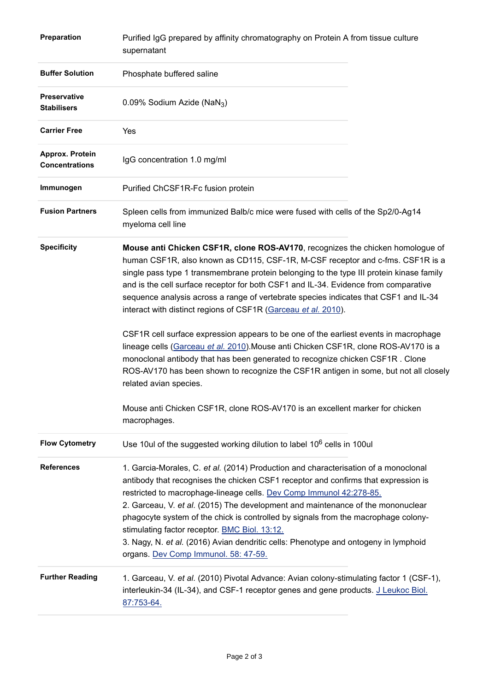| Preparation                               | Purified IgG prepared by affinity chromatography on Protein A from tissue culture<br>supernatant                                                                                                                                                                                                                                                                                                                                                                                                                                                                                                          |  |  |  |
|-------------------------------------------|-----------------------------------------------------------------------------------------------------------------------------------------------------------------------------------------------------------------------------------------------------------------------------------------------------------------------------------------------------------------------------------------------------------------------------------------------------------------------------------------------------------------------------------------------------------------------------------------------------------|--|--|--|
| <b>Buffer Solution</b>                    | Phosphate buffered saline                                                                                                                                                                                                                                                                                                                                                                                                                                                                                                                                                                                 |  |  |  |
| <b>Preservative</b><br><b>Stabilisers</b> | 0.09% Sodium Azide (NaN <sub>3</sub> )                                                                                                                                                                                                                                                                                                                                                                                                                                                                                                                                                                    |  |  |  |
| <b>Carrier Free</b>                       | Yes                                                                                                                                                                                                                                                                                                                                                                                                                                                                                                                                                                                                       |  |  |  |
| Approx. Protein<br><b>Concentrations</b>  | IgG concentration 1.0 mg/ml                                                                                                                                                                                                                                                                                                                                                                                                                                                                                                                                                                               |  |  |  |
| Immunogen                                 | Purified ChCSF1R-Fc fusion protein                                                                                                                                                                                                                                                                                                                                                                                                                                                                                                                                                                        |  |  |  |
| <b>Fusion Partners</b>                    | Spleen cells from immunized Balb/c mice were fused with cells of the Sp2/0-Ag14<br>myeloma cell line                                                                                                                                                                                                                                                                                                                                                                                                                                                                                                      |  |  |  |
| <b>Specificity</b>                        | Mouse anti Chicken CSF1R, clone ROS-AV170, recognizes the chicken homologue of<br>human CSF1R, also known as CD115, CSF-1R, M-CSF receptor and c-fms. CSF1R is a<br>single pass type 1 transmembrane protein belonging to the type III protein kinase family<br>and is the cell surface receptor for both CSF1 and IL-34. Evidence from comparative<br>sequence analysis across a range of vertebrate species indicates that CSF1 and IL-34<br>interact with distinct regions of CSF1R (Garceau et al. 2010).                                                                                             |  |  |  |
|                                           | CSF1R cell surface expression appears to be one of the earliest events in macrophage<br>lineage cells (Garceau et al. 2010). Mouse anti Chicken CSF1R, clone ROS-AV170 is a<br>monoclonal antibody that has been generated to recognize chicken CSF1R. Clone<br>ROS-AV170 has been shown to recognize the CSF1R antigen in some, but not all closely<br>related avian species.                                                                                                                                                                                                                            |  |  |  |
|                                           | Mouse anti Chicken CSF1R, clone ROS-AV170 is an excellent marker for chicken<br>macrophages.                                                                                                                                                                                                                                                                                                                                                                                                                                                                                                              |  |  |  |
| <b>Flow Cytometry</b>                     | Use 10ul of the suggested working dilution to label 10 <sup>6</sup> cells in 100ul                                                                                                                                                                                                                                                                                                                                                                                                                                                                                                                        |  |  |  |
| <b>References</b>                         | 1. Garcia-Morales, C. et al. (2014) Production and characterisation of a monoclonal<br>antibody that recognises the chicken CSF1 receptor and confirms that expression is<br>restricted to macrophage-lineage cells. Dev Comp Immunol 42:278-85.<br>2. Garceau, V. et al. (2015) The development and maintenance of the mononuclear<br>phagocyte system of the chick is controlled by signals from the macrophage colony-<br>stimulating factor receptor. BMC Biol. 13:12.<br>3. Nagy, N. et al. (2016) Avian dendritic cells: Phenotype and ontogeny in lymphoid<br>organs. Dev Comp Immunol. 58: 47-59. |  |  |  |
| <b>Further Reading</b>                    | 1. Garceau, V. et al. (2010) Pivotal Advance: Avian colony-stimulating factor 1 (CSF-1),<br>interleukin-34 (IL-34), and CSF-1 receptor genes and gene products. J Leukoc Biol.<br>87:753-64.                                                                                                                                                                                                                                                                                                                                                                                                              |  |  |  |